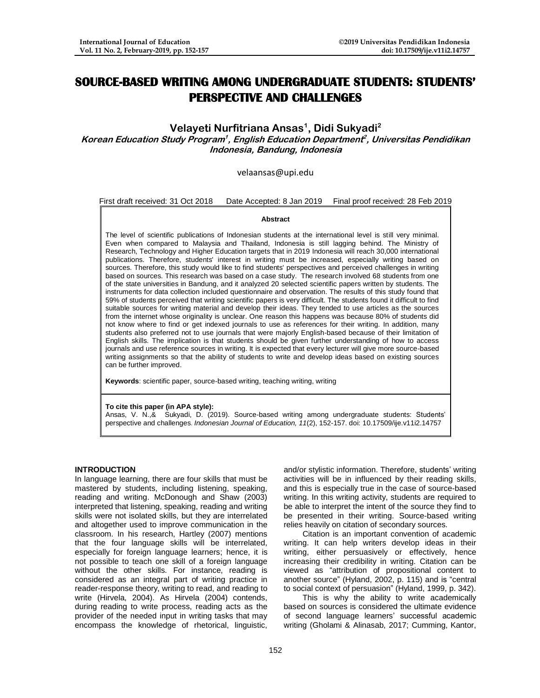# **SOURCE-BASED WRITING AMONG UNDERGRADUATE STUDENTS: STUDENTS' PERSPECTIVE AND CHALLENGES**

# **Velayeti Nurfitriana Ansas<sup>1</sup> , Didi Sukyadi<sup>2</sup>**

**Korean Education Study Program<sup>1</sup> , English Education Department 2 , Universitas Pendidikan Indonesia, Bandung, Indonesia** 

# [velaansas@upi.edu](mailto:velaansas@upi.edu)

# First draft received: 31 Oct 2018 Date Accepted: 8 Jan 2019 Final proof received: 28 Feb 2019

#### **Abstract**

The level of scientific publications of Indonesian students at the international level is still very minimal. Even when compared to Malaysia and Thailand, Indonesia is still lagging behind. The Ministry of Research, Technology and Higher Education targets that in 2019 Indonesia will reach 30,000 international publications. Therefore, students' interest in writing must be increased, especially writing based on sources. Therefore, this study would like to find students' perspectives and perceived challenges in writing based on sources. This research was based on a case study. The research involved 68 students from one of the state universities in Bandung, and it analyzed 20 selected scientific papers written by students. The instruments for data collection included questionnaire and observation. The results of this study found that 59% of students perceived that writing scientific papers is very difficult. The students found it difficult to find suitable sources for writing material and develop their ideas. They tended to use articles as the sources from the internet whose originality is unclear. One reason this happens was because 80% of students did not know where to find or get indexed journals to use as references for their writing. In addition, many students also preferred not to use journals that were majorly English-based because of their limitation of English skills. The implication is that students should be given further understanding of how to access journals and use reference sources in writing. It is expected that every lecturer will give more source-based writing assignments so that the ability of students to write and develop ideas based on existing sources can be further improved.

**Keywords**: scientific paper, source-based writing, teaching writing, writing

#### **To cite this paper (in APA style):**

Ansas, V. N.,& Sukyadi, D. (2019). Source-based writing among undergraduate students: Students' perspective and challenges. *Indonesian Journal of Education, 11*(2), 152-157. doi: 10.17509/ije.v11i2.14757

#### **INTRODUCTION**

In language learning, there are four skills that must be mastered by students, including listening, speaking, reading and writing. McDonough and Shaw (2003) interpreted that listening, speaking, reading and writing skills were not isolated skills, but they are interrelated and altogether used to improve communication in the classroom. In his research, Hartley (2007) mentions that the four language skills will be interrelated, especially for foreign language learners; hence, it is not possible to teach one skill of a foreign language without the other skills. For instance, reading is considered as an integral part of writing practice in reader-response theory, writing to read, and reading to write (Hirvela, 2004). As Hirvela (2004) contends, during reading to write process, reading acts as the provider of the needed input in writing tasks that may encompass the knowledge of rhetorical, linguistic,

and/or stylistic information. Therefore, students' writing activities will be in influenced by their reading skills, and this is especially true in the case of source-based writing. In this writing activity, students are required to be able to interpret the intent of the source they find to be presented in their writing. Source-based writing relies heavily on citation of secondary sources.

Citation is an important convention of academic writing. It can help writers develop ideas in their writing, either persuasively or effectively, hence increasing their credibility in writing. Citation can be viewed as "attribution of propositional content to another source" (Hyland, 2002, p. 115) and is "central to social context of persuasion" (Hyland, 1999, p. 342).

This is why the ability to write academically based on sources is considered the ultimate evidence of second language learners' successful academic writing (Gholami & Alinasab, 2017; Cumming, Kantor,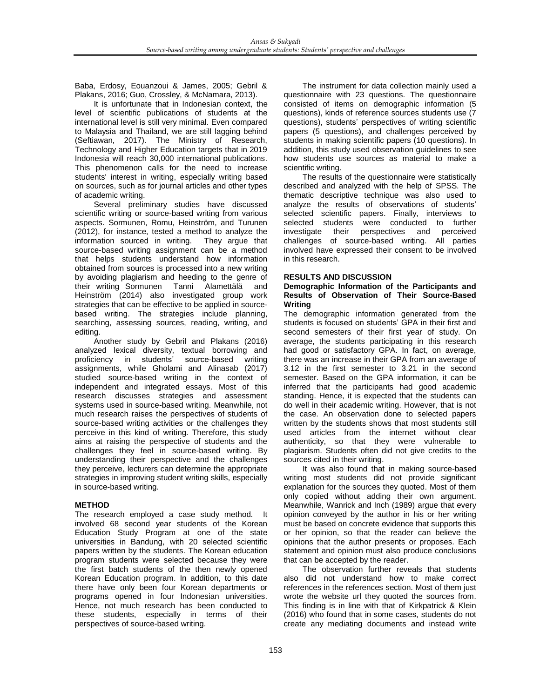Baba, Erdosy, Eouanzoui & James, 2005; Gebril & Plakans, 2016; Guo, Crossley, & McNamara, 2013).

It is unfortunate that in Indonesian context, the level of scientific publications of students at the international level is still very minimal. Even compared to Malaysia and Thailand, we are still lagging behind (Seftiawan, 2017). The Ministry of Research, Technology and Higher Education targets that in 2019 Indonesia will reach 30,000 international publications. This phenomenon calls for the need to increase students' interest in writing, especially writing based on sources, such as for journal articles and other types of academic writing.

Several preliminary studies have discussed scientific writing or source-based writing from various aspects. Sormunen, Romu, Heinström, and Turunen (2012), for instance, tested a method to analyze the information sourced in writing. They argue that source-based writing assignment can be a method that helps students understand how information obtained from sources is processed into a new writing by avoiding plagiarism and heeding to the genre of<br>their writing Sormunen Tanni Alamettälä and their writing Sormunen Tanni Alamettälä Heinström (2014) also investigated group work strategies that can be effective to be applied in sourcebased writing. The strategies include planning, searching, assessing sources, reading, writing, and editing.

Another study by Gebril and Plakans (2016) analyzed lexical diversity, textual borrowing and proficiency in students' source-based writing assignments, while Gholami and Alinasab (2017) studied source-based writing in the context of independent and integrated essays. Most of this research discusses strategies and assessment systems used in source-based writing. Meanwhile, not much research raises the perspectives of students of source-based writing activities or the challenges they perceive in this kind of writing. Therefore, this study aims at raising the perspective of students and the challenges they feel in source-based writing. By understanding their perspective and the challenges they perceive, lecturers can determine the appropriate strategies in improving student writing skills, especially in source-based writing.

# **METHOD**

The research employed a case study method. It involved 68 second year students of the Korean Education Study Program at one of the state universities in Bandung, with 20 selected scientific papers written by the students. The Korean education program students were selected because they were the first batch students of the then newly opened Korean Education program. In addition, to this date there have only been four Korean departments or programs opened in four Indonesian universities. Hence, not much research has been conducted to these students, especially in terms of their perspectives of source-based writing.

The instrument for data collection mainly used a questionnaire with 23 questions. The questionnaire consisted of items on demographic information (5 questions), kinds of reference sources students use (7 questions), students' perspectives of writing scientific papers (5 questions), and challenges perceived by students in making scientific papers (10 questions). In addition, this study used observation guidelines to see how students use sources as material to make a scientific writing.

The results of the questionnaire were statistically described and analyzed with the help of SPSS. The thematic descriptive technique was also used to analyze the results of observations of students' selected scientific papers. Finally, interviews to selected students were conducted to further investigate their perspectives and perceived challenges of source-based writing. All parties involved have expressed their consent to be involved in this research.

# **RESULTS AND DISCUSSION**

#### **Demographic Information of the Participants and Results of Observation of Their Source-Based Writing**

The demographic information generated from the students is focused on students' GPA in their first and second semesters of their first year of study. On average, the students participating in this research had good or satisfactory GPA. In fact, on average, there was an increase in their GPA from an average of 3.12 in the first semester to 3.21 in the second semester. Based on the GPA information, it can be inferred that the participants had good academic standing. Hence, it is expected that the students can do well in their academic writing. However, that is not the case. An observation done to selected papers written by the students shows that most students still used articles from the internet without clear authenticity, so that they were vulnerable to plagiarism. Students often did not give credits to the sources cited in their writing.

It was also found that in making source-based writing most students did not provide significant explanation for the sources they quoted. Most of them only copied without adding their own argument. Meanwhile, Wanrick and Inch (1989) argue that every opinion conveyed by the author in his or her writing must be based on concrete evidence that supports this or her opinion, so that the reader can believe the opinions that the author presents or proposes. Each statement and opinion must also produce conclusions that can be accepted by the reader.

The observation further reveals that students also did not understand how to make correct references in the references section. Most of them just wrote the website url they quoted the sources from. This finding is in line with that of Kirkpatrick & Klein (2016) who found that in some cases, students do not create any mediating documents and instead write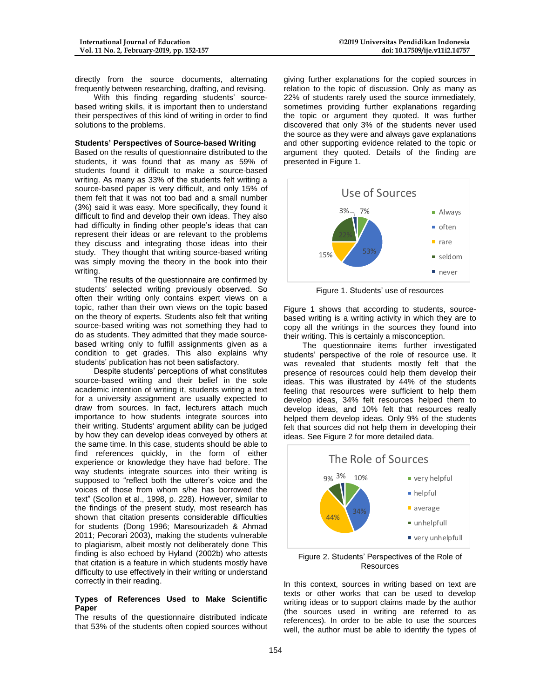directly from the source documents, alternating frequently between researching, drafting, and revising.

With this finding regarding students' sourcebased writing skills, it is important then to understand their perspectives of this kind of writing in order to find solutions to the problems.

#### **Students' Perspectives of Source-based Writing**

Based on the results of questionnaire distributed to the students, it was found that as many as 59% of students found it difficult to make a source-based writing. As many as 33% of the students felt writing a source-based paper is very difficult, and only 15% of them felt that it was not too bad and a small number (3%) said it was easy. More specifically, they found it difficult to find and develop their own ideas. They also had difficulty in finding other people's ideas that can represent their ideas or are relevant to the problems they discuss and integrating those ideas into their study. They thought that writing source-based writing was simply moving the theory in the book into their writing.

The results of the questionnaire are confirmed by students' selected writing previously observed. So often their writing only contains expert views on a topic, rather than their own views on the topic based on the theory of experts. Students also felt that writing source-based writing was not something they had to do as students. They admitted that they made sourcebased writing only to fulfill assignments given as a condition to get grades. This also explains why students' publication has not been satisfactory.

Despite students' perceptions of what constitutes source-based writing and their belief in the sole academic intention of writing it, students writing a text for a university assignment are usually expected to draw from sources. In fact, lecturers attach much importance to how students integrate sources into their writing. Students' argument ability can be judged by how they can develop ideas conveyed by others at the same time. In this case, students should be able to find references quickly, in the form of either experience or knowledge they have had before. The way students integrate sources into their writing is supposed to "reflect both the utterer's voice and the voices of those from whom s/he has borrowed the text" (Scollon et al., 1998, p. 228). However, similar to the findings of the present study, most research has shown that citation presents considerable difficulties for students (Dong 1996; Mansourizadeh & Ahmad 2011; Pecorari 2003), making the students vulnerable to plagiarism, albeit mostly not deliberately done This finding is also echoed by Hyland (2002b) who attests that citation is a feature in which students mostly have difficulty to use effectively in their writing or understand correctly in their reading.

# **Types of References Used to Make Scientific Paper**

The results of the questionnaire distributed indicate that 53% of the students often copied sources without

giving further explanations for the copied sources in relation to the topic of discussion. Only as many as 22% of students rarely used the source immediately, sometimes providing further explanations regarding the topic or argument they quoted. It was further discovered that only 3% of the students never used the source as they were and always gave explanations and other supporting evidence related to the topic or argument they quoted. Details of the finding are presented in Figure 1.



Figure 1. Students' use of resources

Figure 1 shows that according to students, sourcebased writing is a writing activity in which they are to copy all the writings in the sources they found into their writing. This is certainly a misconception.

The questionnaire items further investigated students' perspective of the role of resource use. It was revealed that students mostly felt that the presence of resources could help them develop their ideas. This was illustrated by 44% of the students feeling that resources were sufficient to help them develop ideas, 34% felt resources helped them to develop ideas, and 10% felt that resources really helped them develop ideas. Only 9% of the students felt that sources did not help them in developing their ideas. See Figure 2 for more detailed data.



Figure 2. Students' Perspectives of the Role of **Resources** 

In this context, sources in writing based on text are texts or other works that can be used to develop writing ideas or to support claims made by the author (the sources used in writing are referred to as references). In order to be able to use the sources well, the author must be able to identify the types of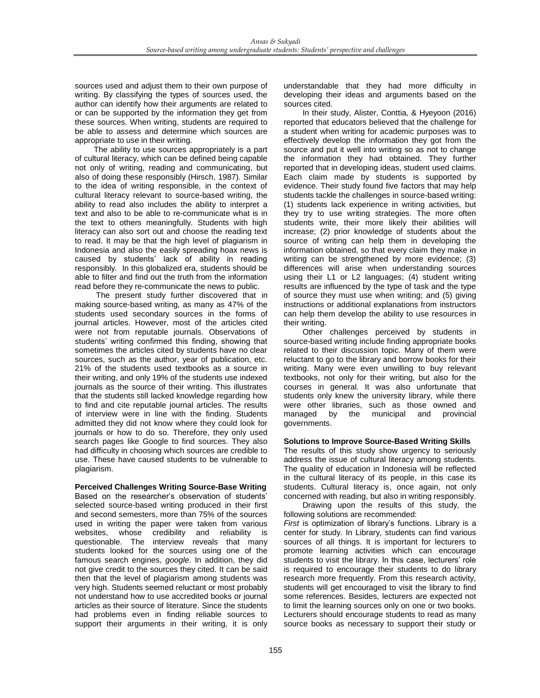sources used and adjust them to their own purpose of writing. By classifying the types of sources used, the author can identify how their arguments are related to or can be supported by the information they get from these sources. When writing, students are required to be able to assess and determine which sources are appropriate to use in their writing.

The ability to use sources appropriately is a part of cultural literacy, which can be defined being capable not only of writing, reading and communicating, but also of doing these responsibly (Hirsch, 1987). Similar to the idea of writing responsible, in the context of cultural literacy relevant to source-based writing, the ability to read also includes the ability to interpret a text and also to be able to re-communicate what is in the text to others meaningfully. Students with high literacy can also sort out and choose the reading text to read. It may be that the high level of plagiarism in Indonesia and also the easily spreading hoax news is caused by students' lack of ability in reading responsibly. In this globalized era, students should be able to filter and find out the truth from the information read before they re-communicate the news to public.

The present study further discovered that in making source-based writing, as many as 47% of the students used secondary sources in the forms of journal articles. However, most of the articles cited were not from reputable journals. Observations of students' writing confirmed this finding, showing that sometimes the articles cited by students have no clear sources, such as the author, year of publication, etc. 21% of the students used textbooks as a source in their writing, and only 19% of the students use indexed journals as the source of their writing. This illustrates that the students still lacked knowledge regarding how to find and cite reputable journal articles. The results of interview were in line with the finding. Students admitted they did not know where they could look for journals or how to do so. Therefore, they only used search pages like Google to find sources. They also had difficulty in choosing which sources are credible to use. These have caused students to be vulnerable to plagiarism.

# **Perceived Challenges Writing Source-Base Writing**

Based on the researcher's observation of students' selected source-based writing produced in their first and second semesters, more than 75% of the sources used in writing the paper were taken from various websites, whose credibility and reliability is questionable. The interview reveals that many students looked for the sources using one of the famous search engines, *google*. In addition, they did not give credit to the sources they cited. It can be said then that the level of plagiarism among students was very high. Students seemed reluctant or most probably not understand how to use accredited books or journal articles as their source of literature. Since the students had problems even in finding reliable sources to support their arguments in their writing, it is only

understandable that they had more difficulty in developing their ideas and arguments based on the sources cited.

In their study, Alister, Conttia, & Hyeyoon (2016) reported that educators believed that the challenge for a student when writing for academic purposes was to effectively develop the information they got from the source and put it well into writing so as not to change the information they had obtained. They further reported that in developing ideas, student used claims. Each claim made by students is supported by evidence. Their study found five factors that may help students tackle the challenges in source-based writing: (1) students lack experience in writing activities, but they try to use writing strategies. The more often students write, their more likely their abilities will increase; (2) prior knowledge of students about the source of writing can help them in developing the information obtained, so that every claim they make in writing can be strengthened by more evidence; (3) differences will arise when understanding sources using their L1 or L2 languages; (4) student writing results are influenced by the type of task and the type of source they must use when writing; and (5) giving instructions or additional explanations from instructors can help them develop the ability to use resources in their writing.

Other challenges perceived by students in source-based writing include finding appropriate books related to their discussion topic. Many of them were reluctant to go to the library and borrow books for their writing. Many were even unwilling to buy relevant textbooks, not only for their writing, but also for the courses in general. It was also unfortunate that students only knew the university library, while there were other libraries, such as those owned and<br>managed by the municipal and provincial managed by the governments.

# **Solutions to Improve Source-Based Writing Skills**

The results of this study show urgency to seriously address the issue of cultural literacy among students. The quality of education in Indonesia will be reflected in the cultural literacy of its people, in this case its students. Cultural literacy is, once again, not only concerned with reading, but also in writing responsibly. Drawing upon the results of this study, the

following solutions are recommended: *First* is optimization of library's functions. Library is a center for study. In Library, students can find various sources of all things. It is important for lecturers to promote learning activities which can encourage students to visit the library. In this case, lecturers' role is required to encourage their students to do library research more frequently. From this research activity, students will get encouraged to visit the library to find some references. Besides, lecturers are expected not to limit the learning sources only on one or two books. Lecturers should encourage students to read as many source books as necessary to support their study or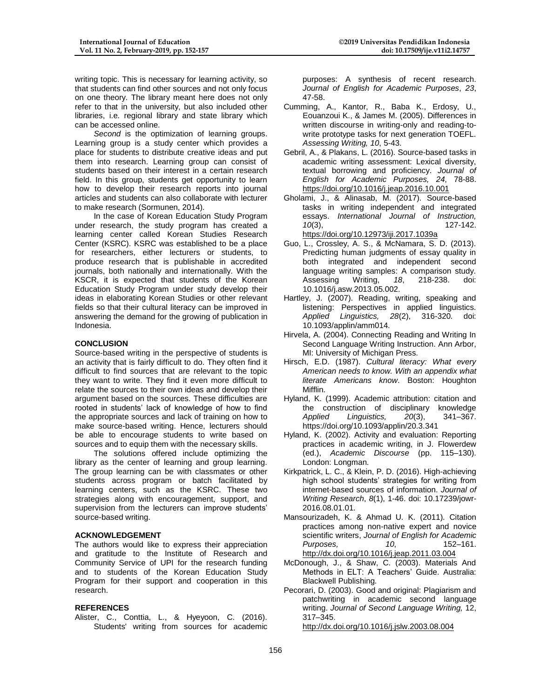writing topic. This is necessary for learning activity, so that students can find other sources and not only focus on one theory. The library meant here does not only refer to that in the university, but also included other libraries, i.e. regional library and state library which can be accessed online.

*Second* is the optimization of learning groups. Learning group is a study center which provides a place for students to distribute creative ideas and put them into research. Learning group can consist of students based on their interest in a certain research field. In this group, students get opportunity to learn how to develop their research reports into journal articles and students can also collaborate with lecturer to make research (Sormunen, 2014).

In the case of Korean Education Study Program under research, the study program has created a learning center called Korean Studies Research Center (KSRC). KSRC was established to be a place for researchers, either lecturers or students, to produce research that is publishable in accredited journals, both nationally and internationally. With the KSCR, it is expected that students of the Korean Education Study Program under study develop their ideas in elaborating Korean Studies or other relevant fields so that their cultural literacy can be improved in answering the demand for the growing of publication in Indonesia.

# **CONCLUSION**

Source-based writing in the perspective of students is an activity that is fairly difficult to do. They often find it difficult to find sources that are relevant to the topic they want to write. They find it even more difficult to relate the sources to their own ideas and develop their argument based on the sources. These difficulties are rooted in students' lack of knowledge of how to find the appropriate sources and lack of training on how to make source-based writing. Hence, lecturers should be able to encourage students to write based on sources and to equip them with the necessary skills.

The solutions offered include optimizing the library as the center of learning and group learning. The group learning can be with classmates or other students across program or batch facilitated by learning centers, such as the KSRC. These two strategies along with encouragement, support, and supervision from the lecturers can improve students' source-based writing.

#### **ACKNOWLEDGEMENT**

The authors would like to express their appreciation and gratitude to the Institute of Research and Community Service of UPI for the research funding and to students of the Korean Education Study Program for their support and cooperation in this research.

#### **REFERENCES**

Alister, C., Conttia, L., & Hyeyoon, C. (2016). Students' writing from sources for academic purposes: A synthesis of recent research. *Journal of English for Academic Purposes*, *23*, 47-58.

- Cumming, A., Kantor, R., Baba K., Erdosy, U., Eouanzoui K., & James M. (2005). Differences in written discourse in writing-only and reading-towrite prototype tasks for next generation TOEFL. *Assessing Writing, 10*, 5-43.
- Gebril, A., & Plakans, L. (2016). Source-based tasks in academic writing assessment: Lexical diversity, textual borrowing and proficiency. *Journal of English for Academic Purposes, 24*, 78-88. <https://doi.org/10.1016/j.jeap.2016.10.001>
- Gholami, J., & Alinasab, M. (2017). Source-based tasks in writing independent and integrated essays. *International Journal of Instruction, 10*(3), 127-142. <https://doi.org/10.12973/iji.2017.1039a>
- Guo, L., Crossley, A. S., & McNamara, S. D. (2013). Predicting human judgments of essay quality in both integrated and independent second language writing samples: A comparison study.<br>Assessing Writing. 18. 218-238. doi: Assessing 10.1016/j.asw.2013.05.002.
- Hartley, J. (2007). Reading, writing, speaking and listening: Perspectives in applied linguistics.<br>Applied Linguistics. 28(2). 316-320. doi: *Applied Linguistics, 28(2),* 10.1093/applin/amm014.
- Hirvela, A. (2004). Connecting Reading and Writing In Second Language Writing Instruction. Ann Arbor, MI: University of Michigan Press.
- Hirsch, E.D. (1987). *Cultural literacy: What every American needs to know. With an appendix what literate Americans know*. Boston: Houghton Mifflin.
- Hyland, K. (1999). Academic attribution: citation and the construction of disciplinary knowledge<br>Applied Linguistics. 20(3). 341–367. *Applied Linguistics, 20(3)*, https://doi.org/10.1093/applin/20.3.341
- Hyland, K. (2002). Activity and evaluation: Reporting practices in academic writing, in J. Flowerdew (ed.), *Academic Discourse* (pp. 115–130). London: Longman.
- Kirkpatrick, L. C., & Klein, P. D. (2016). High-achieving high school students' strategies for writing from internet-based sources of information. *Journal of Writing Research*, *8*(1), 1-46. doi: 10.17239/jowr-2016.08.01.01.
- Mansourizadeh, K. & Ahmad U. K. (2011). Citation practices among non-native expert and novice scientific writers, *Journal of English for Academic Purposes, 10*, 152–161. <http://dx.doi.org/10.1016/j.jeap.2011.03.004>
- McDonough, J., & Shaw, C. (2003). Materials And Methods in ELT: A Teachers' Guide. Australia: Blackwell Publishing.
- Pecorari, D. (2003). Good and original: Plagiarism and patchwriting in academic second language writing. *Journal of Second Language Writing,* 12, 317–345.

<http://dx.doi.org/10.1016/j.jslw.2003.08.004>